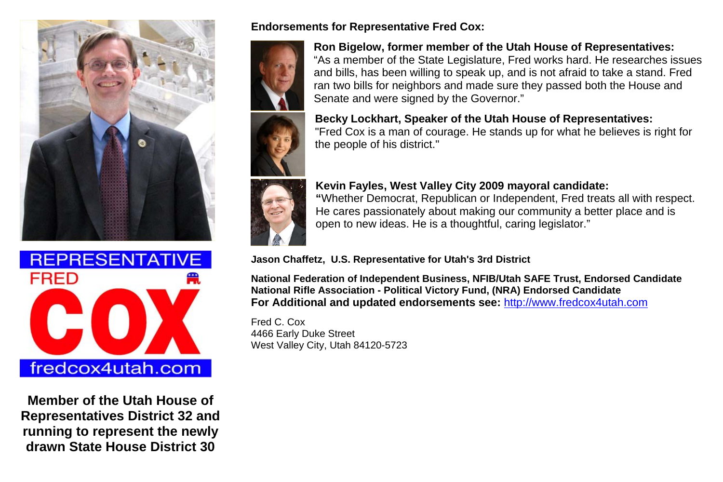



**Member of the Utah House of Representatives District 32 and running to represent the newly drawn State House District 30** 

#### **Endorsements for Representative Fred Cox:**



**Ron Bigelow, former member of the Utah House of Representatives:** "As a member of the State Legislature, Fred works hard. He researches issues and bills, has been willing to speak up, and is not afraid to take a stand. Fred ran two bills for neighbors and made sure they passed both the House and Senate and were signed by the Governor."

#### **Becky Lockhart, Speaker of the Utah House of Representatives:**

"Fred Cox is a man of courage. He stands up for what he believes is right for the people of his district."

## **Kevin Fayles, West Valley City 2009 mayoral candidate:**



**"**Whether Democrat, Republican or Independent, Fred treats all with respect. He cares passionately about making our community a better place and is open to new ideas. He is a thoughtful, caring legislator."

**Jason Chaffetz, U.S. Representative for Utah's 3rd District**

**National Federation of Independent Business, NFIB/Utah SAFE Trust, Endorsed Candidate National Rifle Association - Political Victory Fund, (NRA) Endorsed Candidate For Additional and updated endorsements see:** http://www.fredcox4utah.com

Fred C. Cox 4466 Early Duke Street West Valley City, Utah 84120-5723